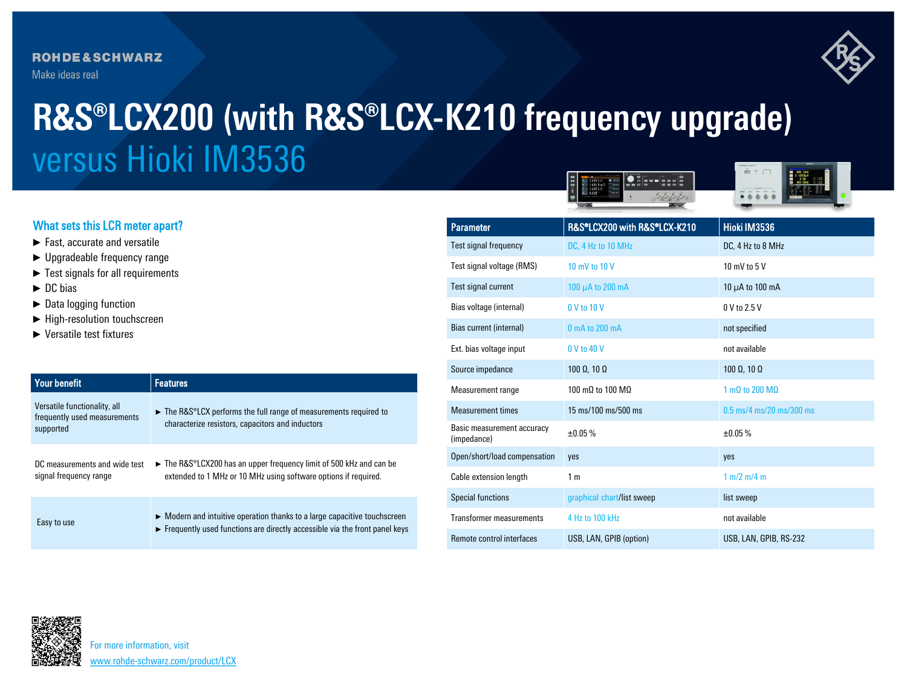# **ROHDE&SCHWARZ**

Make ideas real



# **R&S®LCX200 (with R&S®LCX-K210 frequency upgrade)** versus Hioki IM3536  $\hat{m}$  :  $\cap$ **OFF--BERE**

# What sets this LCR meter apart?

- ► Fast, accurate and versatile
- ► Upgradeable frequency range
- ► Test signals for all requirements
- ► DC bias
- ► Data logging function
- ► High-resolution touchscreen
- ► Versatile test fixtures

| <b>Your benefit</b>                                                       | <b>Features</b>                                                                                                                                                                         |
|---------------------------------------------------------------------------|-----------------------------------------------------------------------------------------------------------------------------------------------------------------------------------------|
| Versatile functionality, all<br>frequently used measurements<br>supported | The R&S®LCX performs the full range of measurements required to<br>characterize resistors, capacitors and inductors                                                                     |
| DC measurements and wide test<br>signal frequency range                   | ► The R&S®LCX200 has an upper frequency limit of 500 kHz and can be<br>extended to 1 MHz or 10 MHz using software options if required.                                                  |
| Easy to use                                                               | $\triangleright$ Modern and intuitive operation thanks to a large capacitive touchscreen<br>$\triangleright$ Frequently used functions are directly accessible via the front panel keys |

| <b>Parameter</b>                          | R&S®LCX200 with R&S®LCX-K210 | Hioki IM3536               |
|-------------------------------------------|------------------------------|----------------------------|
| Test signal frequency                     | DC, 4 Hz to 10 MHz           | DC, 4 Hz to 8 MHz          |
| Test signal voltage (RMS)                 | 10 mV to 10 V                | 10 mV to 5 V               |
| Test signal current                       | 100 µA to 200 mA             | 10 $\mu$ A to 100 mA       |
| Bias voltage (internal)                   | 0 V to 10 V                  | 0 V to 2.5 V               |
| Bias current (internal)                   | 0 mA to 200 mA               | not specified              |
| Ext. bias voltage input                   | 0 V to 40 V                  | not available              |
| Source impedance                          | $100 \Omega$ , $10 \Omega$   | $100 \Omega$ , $10 \Omega$ |
| Measurement range                         | 100 mQ to 100 MQ             | 1 mQ to 200 MQ             |
| <b>Measurement times</b>                  | 15 ms/100 ms/500 ms          | $0.5$ ms/4 ms/20 ms/300 ms |
| Basic measurement accuracy<br>(impedance) | ±0.05%                       | ±0.05%                     |
| Open/short/load compensation              | yes                          | yes                        |
| Cable extension length                    | 1 <sub>m</sub>               | 1 m/2 m/4 m                |
| <b>Special functions</b>                  | graphical chart/list sweep   | list sweep                 |
| <b>Transformer measurements</b>           | 4 Hz to 100 kHz              | not available              |
| Remote control interfaces                 | USB, LAN, GPIB (option)      | USB, LAN, GPIB, RS-232     |